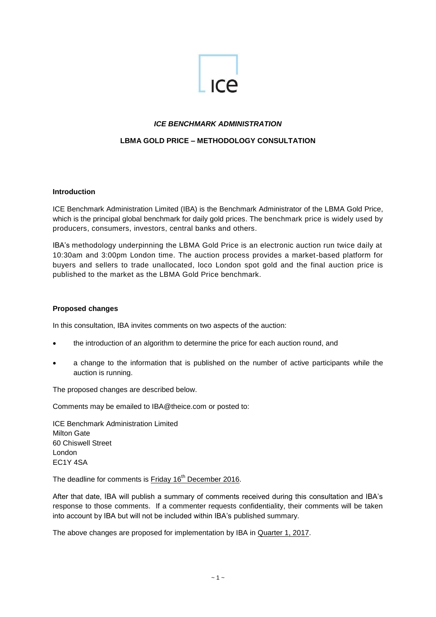

# *ICE BENCHMARK ADMINISTRATION*

# **LBMA GOLD PRICE – METHODOLOGY CONSULTATION**

### **Introduction**

ICE Benchmark Administration Limited (IBA) is the Benchmark Administrator of the LBMA Gold Price, which is the principal global benchmark for daily gold prices. The benchmark price is widely used by producers, consumers, investors, central banks and others.

IBA's methodology underpinning the LBMA Gold Price is an electronic auction run twice daily at 10:30am and 3:00pm London time. The auction process provides a market-based platform for buyers and sellers to trade unallocated, loco London spot gold and the final auction price is published to the market as the LBMA Gold Price benchmark.

#### **Proposed changes**

In this consultation, IBA invites comments on two aspects of the auction:

- the introduction of an algorithm to determine the price for each auction round, and
- a change to the information that is published on the number of active participants while the auction is running.

The proposed changes are described below.

Comments may be emailed to [IBA@theice.com](mailto:IBA@theice.com) or posted to:

ICE Benchmark Administration Limited Milton Gate 60 Chiswell Street London EC1Y 4SA

The deadline for comments is Friday 16<sup>th</sup> December 2016.

After that date, IBA will publish a summary of comments received during this consultation and IBA's response to those comments. If a commenter requests confidentiality, their comments will be taken into account by IBA but will not be included within IBA's published summary.

The above changes are proposed for implementation by IBA in Quarter 1, 2017.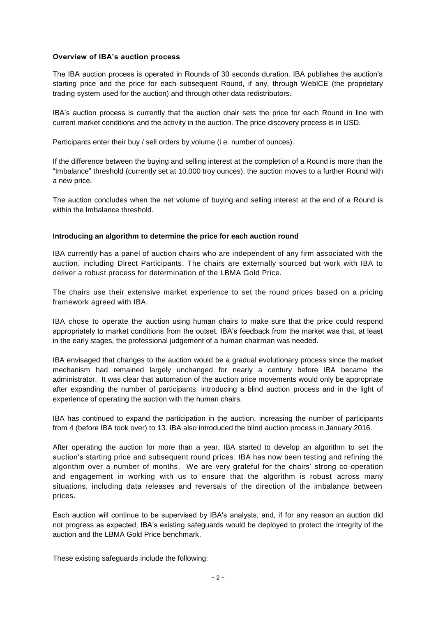## **Overview of IBA's auction process**

The IBA auction process is operated in Rounds of 30 seconds duration. IBA publishes the auction's starting price and the price for each subsequent Round, if any, through WebICE (the proprietary trading system used for the auction) and through other data redistributors.

IBA's auction process is currently that the auction chair sets the price for each Round in line with current market conditions and the activity in the auction. The price discovery process is in USD.

Participants enter their buy / sell orders by volume (i.e. number of ounces).

If the difference between the buying and selling interest at the completion of a Round is more than the "Imbalance" threshold (currently set at 10,000 troy ounces), the auction moves to a further Round with a new price.

The auction concludes when the net volume of buying and selling interest at the end of a Round is within the Imbalance threshold.

### **Introducing an algorithm to determine the price for each auction round**

IBA currently has a panel of auction chairs who are independent of any firm associated with the auction, including Direct Participants. The chairs are externally sourced but work with IBA to deliver a robust process for determination of the LBMA Gold Price.

The chairs use their extensive market experience to set the round prices based on a pricing framework agreed with IBA.

IBA chose to operate the auction using human chairs to make sure that the price could respond appropriately to market conditions from the outset. IBA's feedback from the market was that, at least in the early stages, the professional judgement of a human chairman was needed.

IBA envisaged that changes to the auction would be a gradual evolutionary process since the market mechanism had remained largely unchanged for nearly a century before IBA became the administrator. It was clear that automation of the auction price movements would only be appropriate after expanding the number of participants, introducing a blind auction process and in the light of experience of operating the auction with the human chairs.

IBA has continued to expand the participation in the auction, increasing the number of participants from 4 (before IBA took over) to 13. IBA also introduced the blind auction process in January 2016.

After operating the auction for more than a year, IBA started to develop an algorithm to set the auction's starting price and subsequent round prices. IBA has now been testing and refining the algorithm over a number of months. We are very grateful for the chairs' strong co-operation and engagement in working with us to ensure that the algorithm is robust across many situations, including data releases and reversals of the direction of the imbalance between prices.

Each auction will continue to be supervised by IBA's analysts, and, if for any reason an auction did not progress as expected, IBA's existing safeguards would be deployed to protect the integrity of the auction and the LBMA Gold Price benchmark.

These existing safeguards include the following: